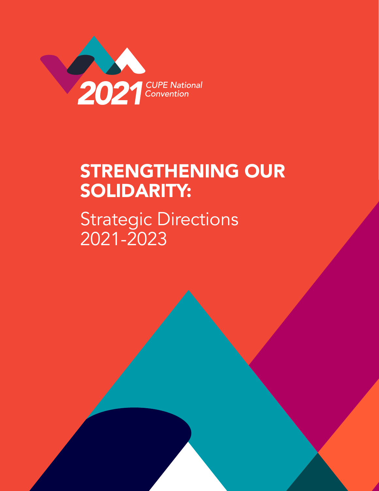

# STRENGTHENING OUR SOLIDARITY:

Strategic Directions 2021-2023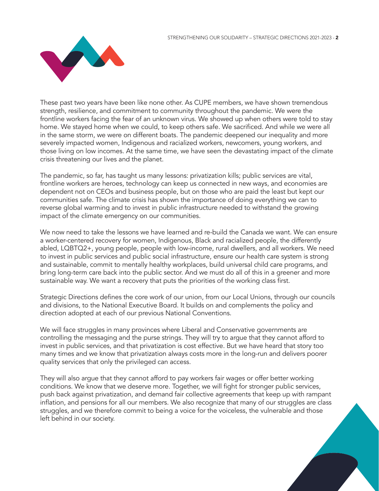

These past two years have been like none other. As CUPE members, we have shown tremendous strength, resilience, and commitment to community throughout the pandemic. We were the frontline workers facing the fear of an unknown virus. We showed up when others were told to stay home. We stayed home when we could, to keep others safe. We sacrificed. And while we were all in the same storm, we were on different boats. The pandemic deepened our inequality and more severely impacted women, Indigenous and racialized workers, newcomers, young workers, and those living on low incomes. At the same time, we have seen the devastating impact of the climate crisis threatening our lives and the planet.

The pandemic, so far, has taught us many lessons: privatization kills; public services are vital, frontline workers are heroes, technology can keep us connected in new ways, and economies are dependent not on CEOs and business people, but on those who are paid the least but kept our communities safe. The climate crisis has shown the importance of doing everything we can to reverse global warming and to invest in public infrastructure needed to withstand the growing impact of the climate emergency on our communities.

We now need to take the lessons we have learned and re-build the Canada we want. We can ensure a worker-centered recovery for women, Indigenous, Black and racialized people, the differently abled, LQBTQ2+, young people, people with low-income, rural dwellers, and all workers. We need to invest in public services and public social infrastructure, ensure our health care system is strong and sustainable, commit to mentally healthy workplaces, build universal child care programs, and bring long-term care back into the public sector. And we must do all of this in a greener and more sustainable way. We want a recovery that puts the priorities of the working class first.

Strategic Directions defines the core work of our union, from our Local Unions, through our councils and divisions, to the National Executive Board. It builds on and complements the policy and direction adopted at each of our previous National Conventions.

We will face struggles in many provinces where Liberal and Conservative governments are controlling the messaging and the purse strings. They will try to argue that they cannot afford to invest in public services, and that privatization is cost effective. But we have heard that story too many times and we know that privatization always costs more in the long-run and delivers poorer quality services that only the privileged can access.

They will also argue that they cannot afford to pay workers fair wages or offer better working conditions. We know that we deserve more. Together, we will fight for stronger public services, push back against privatization, and demand fair collective agreements that keep up with rampant inflation, and pensions for all our members. We also recognize that many of our struggles are class struggles, and we therefore commit to being a voice for the voiceless, the vulnerable and those left behind in our society.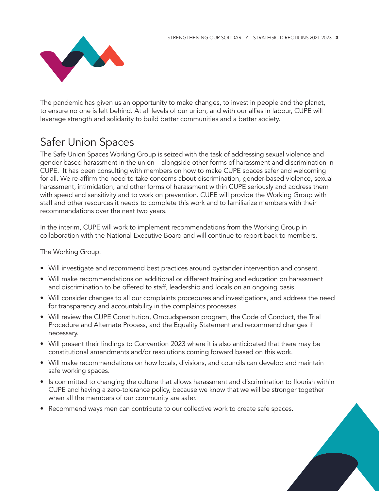

The pandemic has given us an opportunity to make changes, to invest in people and the planet, to ensure no one is left behind. At all levels of our union, and with our allies in labour, CUPE will leverage strength and solidarity to build better communities and a better society.

# Safer Union Spaces

The Safe Union Spaces Working Group is seized with the task of addressing sexual violence and gender-based harassment in the union – alongside other forms of harassment and discrimination in CUPE. It has been consulting with members on how to make CUPE spaces safer and welcoming for all. We re-affirm the need to take concerns about discrimination, gender-based violence, sexual harassment, intimidation, and other forms of harassment within CUPE seriously and address them with speed and sensitivity and to work on prevention. CUPE will provide the Working Group with staff and other resources it needs to complete this work and to familiarize members with their recommendations over the next two years.

In the interim, CUPE will work to implement recommendations from the Working Group in collaboration with the National Executive Board and will continue to report back to members.

#### The Working Group:

- Will investigate and recommend best practices around bystander intervention and consent.
- Will make recommendations on additional or different training and education on harassment and discrimination to be offered to staff, leadership and locals on an ongoing basis.
- Will consider changes to all our complaints procedures and investigations, and address the need for transparency and accountability in the complaints processes.
- Will review the CUPE Constitution, Ombudsperson program, the Code of Conduct, the Trial Procedure and Alternate Process, and the Equality Statement and recommend changes if necessary.
- Will present their findings to Convention 2023 where it is also anticipated that there may be constitutional amendments and/or resolutions coming forward based on this work.
- Will make recommendations on how locals, divisions, and councils can develop and maintain safe working spaces.
- Is committed to changing the culture that allows harassment and discrimination to flourish within CUPE and having a zero-tolerance policy, because we know that we will be stronger together when all the members of our community are safer.
- Recommend ways men can contribute to our collective work to create safe spaces.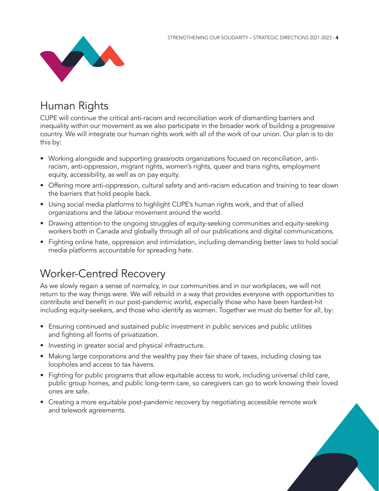

# Human Rights

CUPE will continue the critical anti-racism and reconciliation work of dismantling barriers and inequality within our movement as we also participate in the broader work of building a progressive country. We will integrate our human rights work with all of the work of our union. Our plan is to do this by:

- Working alongside and supporting grassroots organizations focused on reconciliation, antiracism, anti-oppression, migrant rights, women's rights, queer and trans rights, employment equity, accessibility, as well as on pay equity.
- Offering more anti-oppression, cultural safety and anti-racism education and training to tear down the barriers that hold people back.
- Using social media platforms to highlight CUPE's human rights work, and that of allied organizations and the labour movement around the world.
- Drawing attention to the ongoing struggles of equity-seeking communities and equity-seeking workers both in Canada and globally through all of our publications and digital communications.
- Fighting online hate, oppression and intimidation, including demanding better laws to hold social media platforms accountable for spreading hate.

### Worker-Centred Recovery

As we slowly regain a sense of normalcy, in our communities and in our workplaces, we will not return to the way things were. We will rebuild in a way that provides everyone with opportunities to contribute and benefit in our post-pandemic world, especially those who have been hardest-hit including equity-seekers, and those who identify as women. Together we must do better for all, by:

- Ensuring continued and sustained public investment in public services and public utilities and fighting all forms of privatization.
- Investing in greater social and physical infrastructure.
- Making large corporations and the wealthy pay their fair share of taxes, including closing tax loopholes and access to tax havens.
- Fighting for public programs that allow equitable access to work, including universal child care, public group homes, and public long-term care, so caregivers can go to work knowing their loved ones are safe.
- Creating a more equitable post-pandemic recovery by negotiating accessible remote work and telework agreements.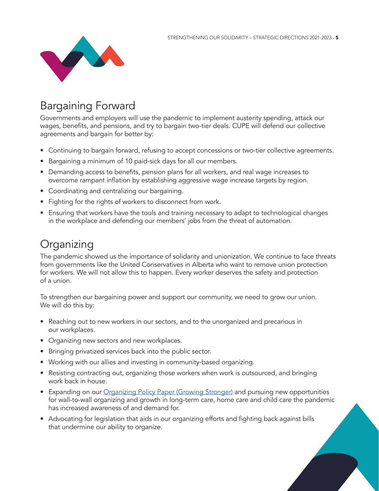

# Bargaining Forward

Governments and employers will use the pandemic to implement austerity spending, attack our wages, benefits, and pensions, and try to bargain two-tier deals. CUPE will defend our collective agreements and bargain for better by:

- Continuing to bargain forward, refusing to accept concessions or two-tier collective agreements.
- Bargaining a minimum of 10 paid-sick days for all our members.
- Demanding access to benefits, pension plans for all workers, and real wage increases to overcome rampant inflation by establishing aggressive wage increase targets by region.
- Coordinating and centralizing our bargaining.
- Fighting for the rights of workers to disconnect from work.
- Ensuring that workers have the tools and training necessary to adapt to technological changes in the workplace and defending our members' jobs from the threat of automation.

#### **Organizing**

The pandemic showed us the importance of solidarity and unionization. We continue to face threats from governments like the United Conservatives in Alberta who want to remove union protection for workers. We will not allow this to happen. Every worker deserves the safety and protection of a union.

To strengthen our bargaining power and support our community, we need to grow our union. We will do this by:

- Reaching out to new workers in our sectors, and to the unorganized and precarious in our workplaces.
- Organizing new sectors and new workplaces.
- Bringing privatized services back into the public sector.
- Working with our allies and investing in community-based organizing.
- Resisting contracting out, organizing those workers when work is outsourced, and bringing work back in house.
- Expanding on our [Organizing Policy Paper \(Growing Stronger\)](https://cupe.ca/growing-stronger-cupe-sets-organizing-plan-motion) and pursuing new opportunities for wall-to-wall organizing and growth in long-term care, home care and child care the pandemic has increased awareness of and demand for.
- Advocating for legislation that aids in our organizing efforts and fighting back against bills that undermine our ability to organize.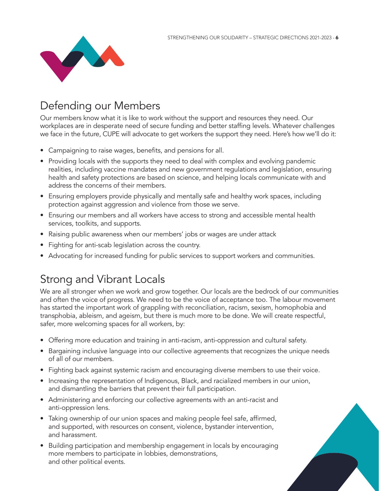

# Defending our Members

Our members know what it is like to work without the support and resources they need. Our workplaces are in desperate need of secure funding and better staffing levels. Whatever challenges we face in the future, CUPE will advocate to get workers the support they need. Here's how we'll do it:

- Campaigning to raise wages, benefits, and pensions for all.
- Providing locals with the supports they need to deal with complex and evolving pandemic realities, including vaccine mandates and new government regulations and legislation, ensuring health and safety protections are based on science, and helping locals communicate with and address the concerns of their members.
- Ensuring employers provide physically and mentally safe and healthy work spaces, including protection against aggression and violence from those we serve.
- Ensuring our members and all workers have access to strong and accessible mental health services, toolkits, and supports.
- Raising public awareness when our members' jobs or wages are under attack
- Fighting for anti-scab legislation across the country.
- Advocating for increased funding for public services to support workers and communities.

#### Strong and Vibrant Locals

We are all stronger when we work and grow together. Our locals are the bedrock of our communities and often the voice of progress. We need to be the voice of acceptance too. The labour movement has started the important work of grappling with reconciliation, racism, sexism, homophobia and transphobia, ableism, and ageism, but there is much more to be done. We will create respectful, safer, more welcoming spaces for all workers, by:

- Offering more education and training in anti-racism, anti-oppression and cultural safety.
- Bargaining inclusive language into our collective agreements that recognizes the unique needs of all of our members.
- Fighting back against systemic racism and encouraging diverse members to use their voice.
- Increasing the representation of Indigenous, Black, and racialized members in our union, and dismantling the barriers that prevent their full participation.
- Administering and enforcing our collective agreements with an anti-racist and anti-oppression lens.
- Taking ownership of our union spaces and making people feel safe, affirmed, and supported, with resources on consent, violence, bystander intervention, and harassment.
- Building participation and membership engagement in locals by encouraging more members to participate in lobbies, demonstrations, and other political events.